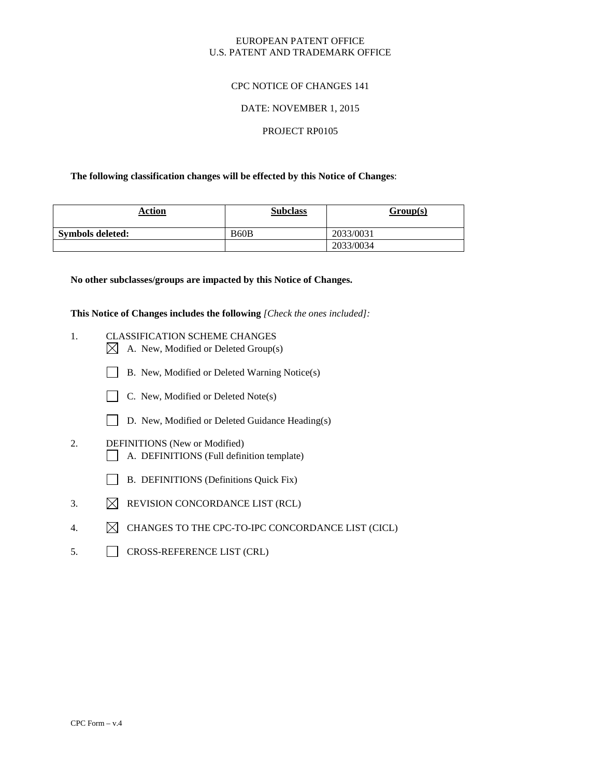# EUROPEAN PATENT OFFICE U.S. PATENT AND TRADEMARK OFFICE

# CPC NOTICE OF CHANGES 141

## DATE: NOVEMBER 1, 2015

### PROJECT RP0105

# **The following classification changes will be effected by this Notice of Changes**:

| Action                  | <b>Subclass</b> | Group(s)  |
|-------------------------|-----------------|-----------|
| <b>Symbols deleted:</b> | B60B            | 2033/0031 |
|                         |                 | 2033/0034 |

### **No other subclasses/groups are impacted by this Notice of Changes.**

**This Notice of Changes includes the following** *[Check the ones included]:*

- 1. CLASSIFICATION SCHEME CHANGES  $\boxtimes$  A. New, Modified or Deleted Group(s)
	- B. New, Modified or Deleted Warning Notice(s)



- D. New, Modified or Deleted Guidance Heading(s)
- 2. DEFINITIONS (New or Modified) A. DEFINITIONS (Full definition template)
	- B. DEFINITIONS (Definitions Quick Fix)
- 3.  $\boxtimes$  REVISION CONCORDANCE LIST (RCL)
- 4.  $\boxtimes$  CHANGES TO THE CPC-TO-IPC CONCORDANCE LIST (CICL)
- 5. CROSS-REFERENCE LIST (CRL)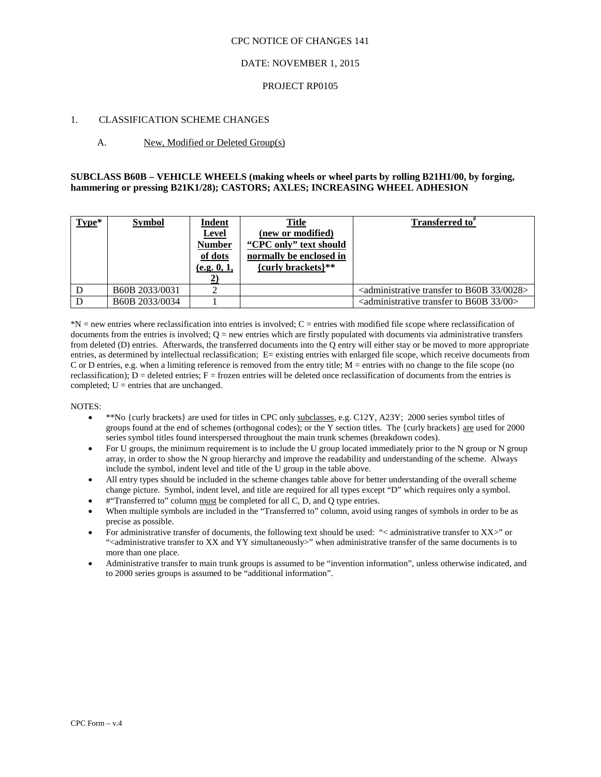### CPC NOTICE OF CHANGES 141

# DATE: NOVEMBER 1, 2015

### PROJECT RP0105

### 1. CLASSIFICATION SCHEME CHANGES

# A. New, Modified or Deleted Group(s)

# **SUBCLASS B60B – VEHICLE WHEELS (making wheels or wheel parts by rolling B21H1/00, by forging, hammering or pressing B21K1/28); CASTORS; AXLES; INCREASING WHEEL ADHESION**

| $Type*$ | <b>Symbol</b>  | Indent<br><b>Level</b><br><b>Number</b><br>of dots<br>(e.g. 0, 1, | <b>Title</b><br>(new or modified)<br>"CPC only" text should<br>normally be enclosed in<br>{curly brackets}** | Transferred to <sup>#</sup>                                                        |
|---------|----------------|-------------------------------------------------------------------|--------------------------------------------------------------------------------------------------------------|------------------------------------------------------------------------------------|
|         | B60B 2033/0031 |                                                                   |                                                                                                              | $\alpha$ <administrative 0028="" 33="" b60b="" to="" transfer=""></administrative> |
|         | B60B 2033/0034 |                                                                   |                                                                                                              | <administrative 00="" 33="" b60b="" to="" transfer=""></administrative>            |

\*N = new entries where reclassification into entries is involved; C = entries with modified file scope where reclassification of documents from the entries is involved;  $Q = new$  entries which are firstly populated with documents via administrative transfers from deleted (D) entries. Afterwards, the transferred documents into the Q entry will either stay or be moved to more appropriate entries, as determined by intellectual reclassification; E= existing entries with enlarged file scope, which receive documents from C or D entries, e.g. when a limiting reference is removed from the entry title; M = entries with no change to the file scope (no reclassification);  $D =$  deleted entries;  $F =$  frozen entries will be deleted once reclassification of documents from the entries is completed;  $U =$  entries that are unchanged.

#### NOTES:

- \*\*No {curly brackets} are used for titles in CPC only subclasses, e.g. C12Y, A23Y; 2000 series symbol titles of groups found at the end of schemes (orthogonal codes); or the Y section titles. The {curly brackets} are used for 2000 series symbol titles found interspersed throughout the main trunk schemes (breakdown codes).
- For U groups, the minimum requirement is to include the U group located immediately prior to the N group or N group array, in order to show the N group hierarchy and improve the readability and understanding of the scheme. Always include the symbol, indent level and title of the U group in the table above.
- All entry types should be included in the scheme changes table above for better understanding of the overall scheme change picture. Symbol, indent level, and title are required for all types except "D" which requires only a symbol.
- #"Transferred to" column must be completed for all C, D, and Q type entries.
- When multiple symbols are included in the "Transferred to" column, avoid using ranges of symbols in order to be as precise as possible.
- For administrative transfer of documents, the following text should be used: "< administrative transfer to XX>" or "<administrative transfer to XX and YY simultaneously>" when administrative transfer of the same documents is to more than one place.
- Administrative transfer to main trunk groups is assumed to be "invention information", unless otherwise indicated, and to 2000 series groups is assumed to be "additional information".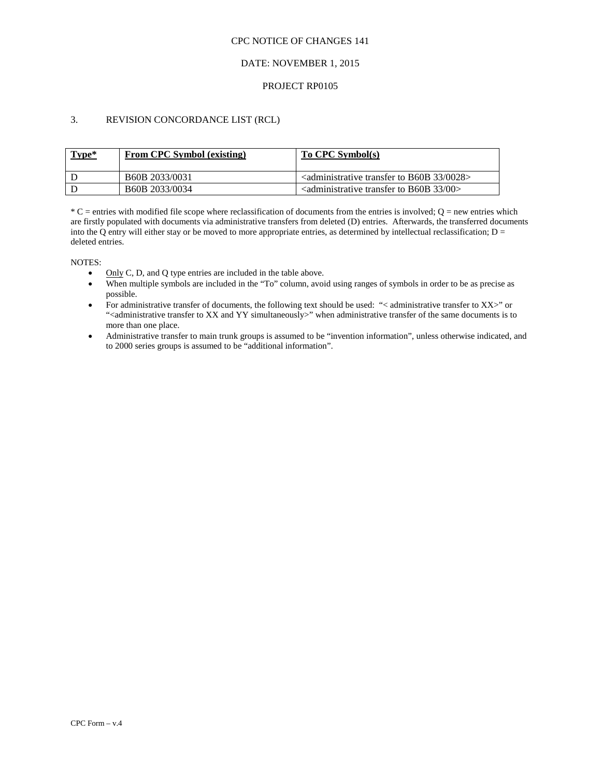### CPC NOTICE OF CHANGES 141

# DATE: NOVEMBER 1, 2015

# PROJECT RP0105

# 3. REVISION CONCORDANCE LIST (RCL)

| Type* | <b>From CPC Symbol (existing)</b>       | To CPC Symbol(s)                                                                            |
|-------|-----------------------------------------|---------------------------------------------------------------------------------------------|
|       | B <sub>60</sub> B <sub>2033</sub> /0031 | $\alpha$ <administrative 0028="" 33="" b60b="" to="" transfer=""></administrative>          |
|       | B <sub>60</sub> B <sub>2033</sub> /0034 | $\alpha$ <administrative 00<math="" 33="" b60b="" to="" transfer="">\alpha</administrative> |

 $*C$  = entries with modified file scope where reclassification of documents from the entries is involved;  $Q$  = new entries which are firstly populated with documents via administrative transfers from deleted (D) entries. Afterwards, the transferred documents into the Q entry will either stay or be moved to more appropriate entries, as determined by intellectual reclassification;  $D =$ deleted entries.

NOTES:

- Only C, D, and Q type entries are included in the table above.
- When multiple symbols are included in the "To" column, avoid using ranges of symbols in order to be as precise as possible.
- For administrative transfer of documents, the following text should be used: "< administrative transfer to XX>" or "<administrative transfer to XX and YY simultaneously>" when administrative transfer of the same documents is to more than one place.
- Administrative transfer to main trunk groups is assumed to be "invention information", unless otherwise indicated, and to 2000 series groups is assumed to be "additional information".